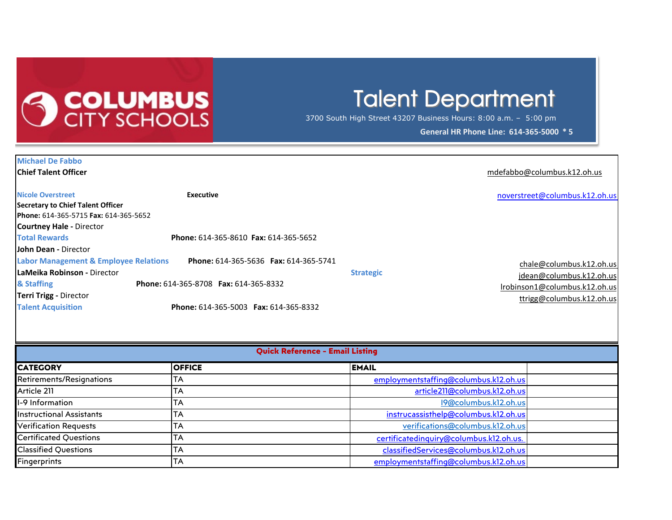

## **Talent Department**

3700 South High Street 43207 Business Hours: 8:00 a.m. – 5:00 pm

**General HR Phone Line: 614-365-5000 \* 5** 

| <b>Michael De Fabbo</b>                          |                                        |                  |                                |
|--------------------------------------------------|----------------------------------------|------------------|--------------------------------|
| <b>Chief Talent Officer</b>                      |                                        |                  | mdefabbo@columbus.k12.oh.us    |
| <b>Nicole Overstreet</b>                         | Executive                              |                  |                                |
| Secretary to Chief Talent Officer                |                                        |                  | noverstreet@columbus.k12.oh.us |
| Phone: 614-365-5715 Fax: 614-365-5652            |                                        |                  |                                |
| <b>Courtney Hale - Director</b>                  |                                        |                  |                                |
| <b>Total Rewards</b>                             | Phone: 614-365-8610 Fax: 614-365-5652  |                  |                                |
| <b>John Dean - Director</b>                      |                                        |                  |                                |
| <b>Labor Management &amp; Employee Relations</b> | Phone: 614-365-5636  Fax: 614-365-5741 |                  | chale@columbus.k12.oh.us       |
| LaMeika Robinson - Director                      |                                        | <b>Strategic</b> | jdean@columbus.k12.oh.us       |
| & Staffing                                       | Phone: 614-365-8708 Fax: 614-365-8332  |                  | lrobinson1@columbus.k12.oh.us  |
| <b>Terri Trigg - Director</b>                    |                                        |                  | ttrigg@columbus.k12.oh.us      |
| <b>Talent Acquisition</b>                        | Phone: 614-365-5003 Fax: 614-365-8332  |                  |                                |

| <b>Quick Reference - Email Listing</b> |               |                                         |  |  |  |  |  |
|----------------------------------------|---------------|-----------------------------------------|--|--|--|--|--|
| <b>CATEGORY</b>                        | <b>OFFICE</b> | <b>EMAIL</b>                            |  |  |  |  |  |
| Retirements/Resignations               | TA            | employmentstaffing@columbus.k12.oh.us   |  |  |  |  |  |
| Article 211                            | <b>TA</b>     | article211@columbus.k12.oh.us           |  |  |  |  |  |
| I-9 Information                        | <b>TA</b>     | 19@columbus.k12.oh.us                   |  |  |  |  |  |
| <b>Instructional Assistants</b>        | <b>TA</b>     | instrucassisthelp@columbus.k12.oh.us    |  |  |  |  |  |
| <b>Verification Requests</b>           | <b>TA</b>     | verifications@columbus.k12.oh.us        |  |  |  |  |  |
| Certificated Questions                 | TA            | certificatedinguiry@columbus.k12.oh.us. |  |  |  |  |  |
| <b>Classified Questions</b>            | TA            | classifiedServices@columbus.k12.oh.us   |  |  |  |  |  |
| <b>Fingerprints</b>                    | <b>TA</b>     | employmentstaffing@columbus.k12.oh.us   |  |  |  |  |  |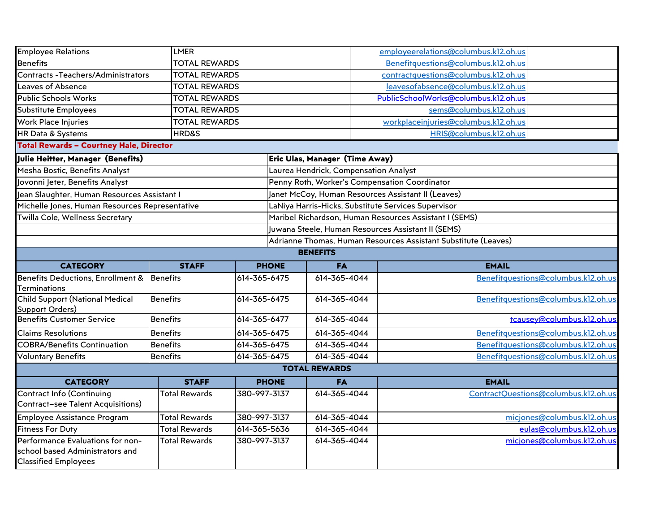| <b>Employee Relations</b>                                   |                      | <b>LMER</b>          |                                                                |                                                    | employeerelations@columbus.k12.oh.us                   |                                      |  |
|-------------------------------------------------------------|----------------------|----------------------|----------------------------------------------------------------|----------------------------------------------------|--------------------------------------------------------|--------------------------------------|--|
| <b>Benefits</b>                                             |                      | <b>TOTAL REWARDS</b> |                                                                |                                                    | Benefitquestions@columbus.k12.oh.us                    |                                      |  |
| <b>Contracts -Teachers/Administrators</b>                   |                      | <b>TOTAL REWARDS</b> |                                                                |                                                    | contractquestions@columbus.k12.oh.us                   |                                      |  |
| Leaves of Absence                                           |                      | <b>TOTAL REWARDS</b> |                                                                |                                                    | leavesofabsence@columbus.k12.oh.us                     |                                      |  |
| <b>Public Schools Works</b>                                 | <b>TOTAL REWARDS</b> |                      |                                                                |                                                    | PublicSchoolWorks@columbus.k12.oh.us                   |                                      |  |
| Substitute Employees                                        | <b>TOTAL REWARDS</b> |                      |                                                                |                                                    | sems@columbus.k12.oh.us                                |                                      |  |
| Work Place Injuries                                         | <b>TOTAL REWARDS</b> |                      |                                                                |                                                    | workplaceinjuries@columbus.k12.oh.us                   |                                      |  |
| HR Data & Systems                                           | HRD&S                |                      |                                                                |                                                    | HRIS@columbus.k12.oh.us                                |                                      |  |
| <b>Total Rewards - Courtney Hale, Director</b>              |                      |                      |                                                                |                                                    |                                                        |                                      |  |
| Julie Heitter, Manager (Benefits)                           |                      |                      |                                                                | Eric Ulas, Manager (Time Away)                     |                                                        |                                      |  |
| Mesha Bostic, Benefits Analyst                              |                      |                      |                                                                | Laurea Hendrick, Compensation Analyst              |                                                        |                                      |  |
| Jovonni Jeter, Benefits Analyst                             |                      |                      |                                                                |                                                    | Penny Roth, Worker's Compensation Coordinator          |                                      |  |
| Jean Slaughter, Human Resources Assistant I                 |                      |                      |                                                                |                                                    | Janet McCoy, Human Resources Assistant II (Leaves)     |                                      |  |
| Michelle Jones, Human Resources Representative              |                      |                      |                                                                |                                                    | LaNiya Harris-Hicks, Substitute Services Supervisor    |                                      |  |
| Twilla Cole, Wellness Secretary                             |                      |                      |                                                                |                                                    | Maribel Richardson, Human Resources Assistant I (SEMS) |                                      |  |
|                                                             |                      |                      |                                                                | Juwana Steele, Human Resources Assistant II (SEMS) |                                                        |                                      |  |
|                                                             |                      |                      | Adrianne Thomas, Human Resources Assistant Substitute (Leaves) |                                                    |                                                        |                                      |  |
|                                                             |                      |                      |                                                                | <b>BENEFITS</b>                                    |                                                        |                                      |  |
| <b>CATEGORY</b>                                             | <b>STAFF</b>         | <b>PHONE</b>         |                                                                | <b>FA</b>                                          | <b>EMAIL</b>                                           |                                      |  |
| Benefits Deductions, Enrollment &                           | Benefits             | 614-365-6475         |                                                                | 614-365-4044                                       |                                                        | Benefitquestions@columbus.k12.oh.us  |  |
| <b>Terminations</b>                                         |                      |                      |                                                                |                                                    |                                                        |                                      |  |
|                                                             | <b>Benefits</b>      | 614-365-6475         |                                                                |                                                    |                                                        |                                      |  |
| <b>Child Support (National Medical</b>                      |                      |                      |                                                                | 614-365-4044                                       |                                                        |                                      |  |
| Support Orders)                                             |                      |                      |                                                                |                                                    |                                                        | Benefitquestions@columbus.k12.oh.us  |  |
| <b>Benefits Customer Service</b>                            | <b>Benefits</b>      | 614-365-6477         |                                                                | 614-365-4044                                       |                                                        | tcausey@columbus.k12.oh.us           |  |
| <b>Claims Resolutions</b>                                   | <b>Benefits</b>      | 614-365-6475         |                                                                | 614-365-4044                                       |                                                        | Benefitquestions@columbus.k12.oh.us  |  |
| <b>COBRA/Benefits Continuation</b>                          | <b>Benefits</b>      | 614-365-6475         |                                                                | 614-365-4044                                       |                                                        | Benefitquestions@columbus.k12.oh.us  |  |
| <b>Voluntary Benefits</b>                                   | <b>Benefits</b>      | 614-365-6475         |                                                                | 614-365-4044                                       |                                                        |                                      |  |
|                                                             |                      |                      |                                                                | <b>TOTAL REWARDS</b>                               |                                                        | Benefitquestions@columbus.k12.oh.us  |  |
| <b>CATEGORY</b>                                             | <b>STAFF</b>         |                      | <b>PHONE</b>                                                   | <b>FA</b>                                          | <b>EMAIL</b>                                           |                                      |  |
| <b>Contract Info (Continuing</b>                            | <b>Total Rewards</b> | 380-997-3137         |                                                                | 614-365-4044                                       |                                                        | ContractQuestions@columbus.k12.oh.us |  |
| <b>Contract-see Talent Acquisitions)</b>                    |                      |                      |                                                                |                                                    |                                                        |                                      |  |
| Employee Assistance Program                                 | <b>Total Rewards</b> | 380-997-3137         |                                                                | 614-365-4044                                       |                                                        | miciones@columbus.k12.oh.us          |  |
| <b>Fitness For Duty</b><br>Performance Evaluations for non- | <b>Total Rewards</b> | 614-365-5636         |                                                                | 614-365-4044                                       |                                                        | eulas@columbus.k12.oh.us             |  |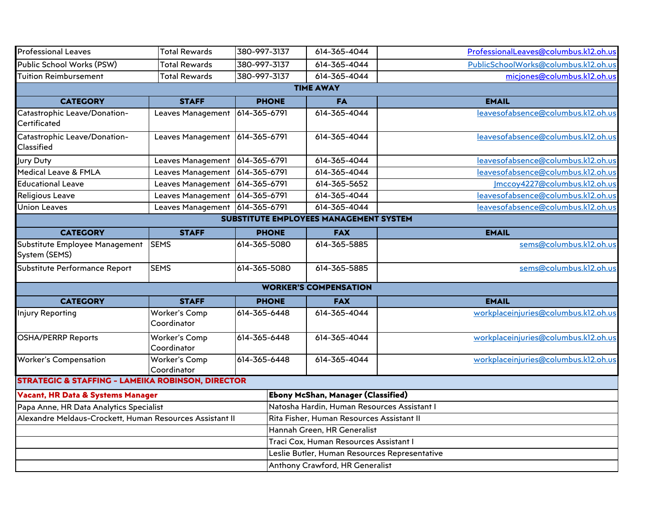| <b>Professional Leaves</b>                                   | <b>Total Rewards</b>                 | 380-997-3137 |                                             | 614-365-4044                                  | ProfessionalLeaves@columbus.k12.oh.us |  |  |
|--------------------------------------------------------------|--------------------------------------|--------------|---------------------------------------------|-----------------------------------------------|---------------------------------------|--|--|
| Public School Works (PSW)                                    | <b>Total Rewards</b>                 | 380-997-3137 |                                             | 614-365-4044                                  | PublicSchoolWorks@columbus.k12.oh.us  |  |  |
| <b>Tuition Reimbursement</b>                                 | <b>Total Rewards</b><br>380-997-3137 |              |                                             | 614-365-4044                                  | micjones@columbus.k12.oh.us           |  |  |
|                                                              |                                      |              |                                             | <b>TIME AWAY</b>                              |                                       |  |  |
| <b>CATEGORY</b>                                              | <b>STAFF</b>                         | <b>PHONE</b> |                                             | <b>FA</b>                                     | <b>EMAIL</b>                          |  |  |
| Catastrophic Leave/Donation-<br>Certificated                 | Leaves Management                    | 614-365-6791 |                                             | 614-365-4044                                  | leavesofabsence@columbus.k12.oh.us    |  |  |
| Catastrophic Leave/Donation-<br>Classified                   | Leaves Management                    | 614-365-6791 |                                             | 614-365-4044                                  | leavesofabsence@columbus.k12.oh.us    |  |  |
| Jury Duty                                                    | Leaves Management                    | 614-365-6791 |                                             | 614-365-4044                                  | leavesofabsence@columbus.k12.oh.us    |  |  |
| Medical Leave & FMLA                                         | Leaves Management                    | 614-365-6791 |                                             | 614-365-4044                                  | leavesofabsence@columbus.k12.oh.us    |  |  |
| <b>Educational Leave</b>                                     | Leaves Management                    | 614-365-6791 |                                             | 614-365-5652                                  | Imccoy4227@columbus.k12.oh.us         |  |  |
| Religious Leave                                              | Leaves Management                    | 614-365-6791 |                                             | 614-365-4044                                  | leavesofabsence@columbus.k12.oh.us    |  |  |
| <b>Union Leaves</b>                                          | Leaves Management                    | 614-365-6791 |                                             | 614-365-4044                                  | leavesofabsence@columbus.k12.oh.us    |  |  |
|                                                              |                                      |              |                                             | SUBSTITUTE EMPLOYEES MANAGEMENT SYSTEM        |                                       |  |  |
| <b>CATEGORY</b>                                              | <b>STAFF</b>                         | <b>PHONE</b> |                                             | <b>FAX</b>                                    | <b>EMAIL</b>                          |  |  |
| Substitute Employee Management<br>System (SEMS)              | <b>SEMS</b>                          | 614-365-5080 |                                             | 614-365-5885                                  | sems@columbus.k12.oh.us               |  |  |
| Substitute Performance Report                                | <b>SEMS</b>                          | 614-365-5080 |                                             | 614-365-5885                                  | sems@columbus.k12.oh.us               |  |  |
|                                                              |                                      |              |                                             | <b>WORKER'S COMPENSATION</b>                  |                                       |  |  |
| <b>CATEGORY</b>                                              | <b>STAFF</b>                         | <b>PHONE</b> |                                             | <b>FAX</b>                                    | <b>EMAIL</b>                          |  |  |
| <b>Injury Reporting</b>                                      | Worker's Comp<br>Coordinator         | 614-365-6448 |                                             | 614-365-4044                                  | workplaceinjuries@columbus.k12.oh.us  |  |  |
| <b>OSHA/PERRP Reports</b>                                    | Worker's Comp<br>Coordinator         | 614-365-6448 |                                             | 614-365-4044                                  | workplaceinjuries@columbus.k12.oh.us  |  |  |
| <b>Worker's Compensation</b>                                 | Worker's Comp<br>Coordinator         | 614-365-6448 |                                             | 614-365-4044                                  | workplaceinjuries@columbus.k12.oh.us  |  |  |
| <b>STRATEGIC &amp; STAFFING - LAMEIKA ROBINSON, DIRECTOR</b> |                                      |              |                                             |                                               |                                       |  |  |
| <b>Vacant, HR Data &amp; Systems Manager</b>                 |                                      |              |                                             | Ebony McShan, Manager (Classified)            |                                       |  |  |
| Papa Anne, HR Data Analytics Specialist                      |                                      |              | Natosha Hardin, Human Resources Assistant I |                                               |                                       |  |  |
| Alexandre Meldaus-Crockett, Human Resources Assistant II     |                                      |              | Rita Fisher, Human Resources Assistant II   |                                               |                                       |  |  |
|                                                              |                                      |              |                                             | Hannah Green, HR Generalist                   |                                       |  |  |
|                                                              |                                      |              |                                             | Traci Cox, Human Resources Assistant I        |                                       |  |  |
|                                                              |                                      |              |                                             | Leslie Butler, Human Resources Representative |                                       |  |  |
|                                                              |                                      |              |                                             | Anthony Crawford, HR Generalist               |                                       |  |  |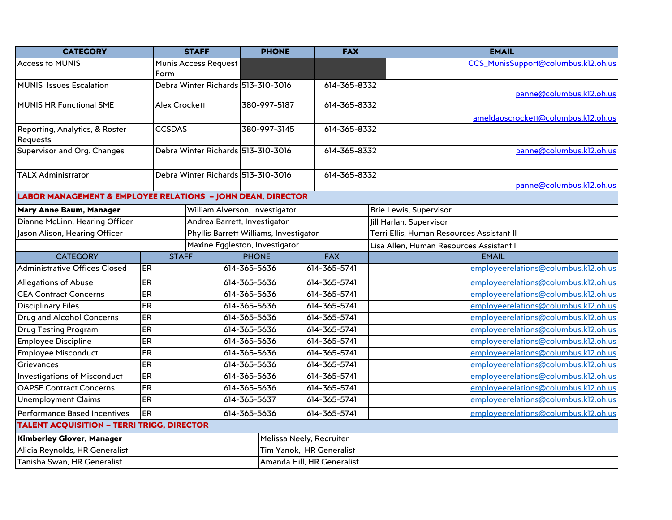| <b>CATEGORY</b>                                                        |               | <b>STAFF</b>                           | <b>PHONE</b> | <b>FAX</b>   |                            |  | <b>EMAIL</b>                              |
|------------------------------------------------------------------------|---------------|----------------------------------------|--------------|--------------|----------------------------|--|-------------------------------------------|
| <b>Access to MUNIS</b>                                                 |               | Munis Access Request                   |              |              |                            |  | CCS MunisSupport@columbus.k12.oh.us       |
|                                                                        | Form          |                                        |              |              |                            |  |                                           |
| <b>MUNIS</b> Issues Escalation                                         |               | Debra Winter Richards 513-310-3016     |              |              | 614-365-8332               |  | panne@columbus.k12.oh.us                  |
| <b>MUNIS HR Functional SME</b>                                         |               | <b>Alex Crockett</b><br>380-997-5187   |              |              | 614-365-8332               |  |                                           |
|                                                                        |               |                                        |              |              |                            |  | ameldauscrockett@columbus.k12.oh.us       |
| Reporting, Analytics, & Roster                                         | <b>CCSDAS</b> |                                        | 380-997-3145 |              | 614-365-8332               |  |                                           |
| Requests                                                               |               |                                        |              |              |                            |  |                                           |
| Supervisor and Org. Changes                                            |               | Debra Winter Richards 513-310-3016     |              | 614-365-8332 |                            |  | panne@columbus.k12.oh.us                  |
|                                                                        |               |                                        |              |              |                            |  |                                           |
| <b>TALX Administrator</b>                                              |               | Debra Winter Richards 513-310-3016     |              |              | 614-365-8332               |  |                                           |
|                                                                        |               |                                        |              |              |                            |  | panne@columbus.k12.oh.us                  |
| <b>LABOR MANAGEMENT &amp; EMPLOYEE RELATIONS - JOHN DEAN, DIRECTOR</b> |               |                                        |              |              |                            |  |                                           |
| Mary Anne Baum, Manager                                                |               | William Alverson, Investigator         |              |              |                            |  | <b>Brie Lewis, Supervisor</b>             |
| Dianne McLinn, Hearing Officer                                         |               | Andrea Barrett, Investigator           |              |              |                            |  | Jill Harlan, Supervisor                   |
| Jason Alison, Hearing Officer                                          |               | Phyllis Barrett Williams, Investigator |              |              |                            |  | Terri Ellis, Human Resources Assistant II |
|                                                                        |               | Maxine Eggleston, Investigator         |              |              |                            |  | Lisa Allen, Human Resources Assistant I   |
| <b>CATEGORY</b>                                                        | <b>STAFF</b>  |                                        | <b>PHONE</b> |              | <b>FAX</b>                 |  | <b>EMAIL</b>                              |
| <b>Administrative Offices Closed</b>                                   | <b>ER</b>     |                                        | 614-365-5636 |              | 614-365-5741               |  | employeerelations@columbus.k12.oh.us      |
| Allegations of Abuse                                                   | <b>ER</b>     |                                        | 614-365-5636 |              | 614-365-5741               |  | employeerelations@columbus.k12.oh.us      |
| <b>CEA Contract Concerns</b>                                           | ER            |                                        | 614-365-5636 |              | 614-365-5741               |  | employeerelations@columbus.k12.oh.us      |
| <b>Disciplinary Files</b>                                              | ER            |                                        | 614-365-5636 |              | 614-365-5741               |  | employeerelations@columbus.k12.oh.us      |
| Drug and Alcohol Concerns                                              | <b>ER</b>     |                                        | 614-365-5636 |              | 614-365-5741               |  | employeerelations@columbus.k12.oh.us      |
| <b>Drug Testing Program</b>                                            | ER            |                                        | 614-365-5636 |              | 614-365-5741               |  | employeerelations@columbus.k12.oh.us      |
| <b>Employee Discipline</b>                                             | ER            |                                        | 614-365-5636 |              | 614-365-5741               |  | employeerelations@columbus.k12.oh.us      |
| <b>Employee Misconduct</b>                                             | ER            |                                        | 614-365-5636 |              | 614-365-5741               |  | employeerelations@columbus.k12.oh.us      |
| Grievances                                                             | ER            |                                        | 614-365-5636 |              | 614-365-5741               |  | employeerelations@columbus.k12.oh.us      |
| <b>Investigations of Misconduct</b>                                    | ER            |                                        | 614-365-5636 |              | 614-365-5741               |  | employeerelations@columbus.k12.oh.us      |
| <b>OAPSE Contract Concerns</b>                                         | ER            |                                        | 614-365-5636 |              | 614-365-5741               |  | employeerelations@columbus.k12.oh.us      |
| <b>Unemployment Claims</b>                                             | <b>ER</b>     |                                        | 614-365-5637 | 614-365-5741 |                            |  | employeerelations@columbus.k12.oh.us      |
| <b>Performance Based Incentives</b>                                    | ER            | 614-365-5636                           |              |              | 614-365-5741               |  | employeerelations@columbus.k12.oh.us      |
| <b>TALENT ACQUISITION - TERRI TRIGG, DIRECTOR</b>                      |               |                                        |              |              |                            |  |                                           |
| <b>Kimberley Glover, Manager</b>                                       |               |                                        |              |              | Melissa Neely, Recruiter   |  |                                           |
| Alicia Reynolds, HR Generalist                                         |               |                                        |              |              | Tim Yanok, HR Generalist   |  |                                           |
| Tanisha Swan, HR Generalist                                            |               |                                        |              |              | Amanda Hill, HR Generalist |  |                                           |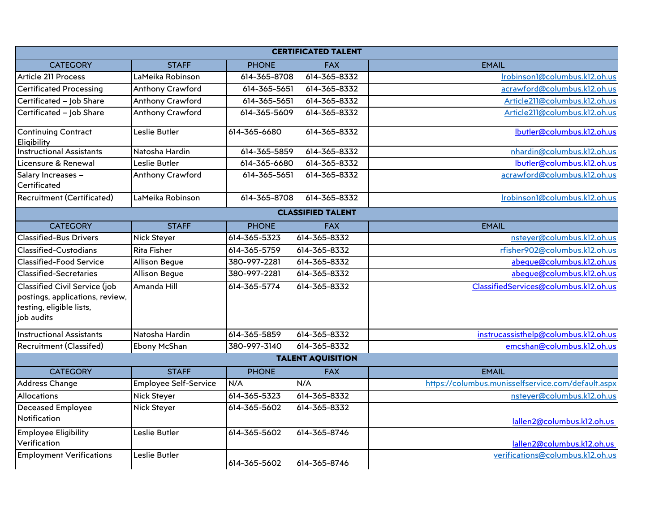| <b>CERTIFICATED TALENT</b>                                                                                 |                              |              |                          |                                                    |  |  |  |
|------------------------------------------------------------------------------------------------------------|------------------------------|--------------|--------------------------|----------------------------------------------------|--|--|--|
| <b>CATEGORY</b>                                                                                            | <b>STAFF</b>                 | <b>PHONE</b> | <b>FAX</b>               | <b>EMAIL</b>                                       |  |  |  |
| Article 211 Process                                                                                        | LaMeika Robinson             | 614-365-8708 | 614-365-8332             | Irobinson1@columbus.k12.oh.us                      |  |  |  |
| <b>Certificated Processing</b>                                                                             | Anthony Crawford             | 614-365-5651 | 614-365-8332             | acrawford@columbus.k12.oh.us                       |  |  |  |
| Certificated - Job Share                                                                                   | Anthony Crawford             | 614-365-5651 | 614-365-8332             | Article211@columbus.k12.oh.us                      |  |  |  |
| Certificated - Job Share                                                                                   | Anthony Crawford             | 614-365-5609 | 614-365-8332             | Article211@columbus.k12.oh.us                      |  |  |  |
| <b>Continuing Contract</b><br><b>Eligibility</b>                                                           | Leslie Butler                | 614-365-6680 | 614-365-8332             | Ibutler@columbus.k12.oh.us                         |  |  |  |
| <b>Instructional Assistants</b>                                                                            | Natosha Hardin               | 614-365-5859 | 614-365-8332             | nhardin@columbus.k12.oh.us                         |  |  |  |
| Licensure & Renewal                                                                                        | Leslie Butler                | 614-365-6680 | 614-365-8332             | Ibutler@columbus.k12.oh.us                         |  |  |  |
| Salary Increases -<br>Certificated                                                                         | Anthony Crawford             | 614-365-5651 | 614-365-8332             | acrawford@columbus.k12.oh.us                       |  |  |  |
| <b>Recruitment (Certificated)</b>                                                                          | LaMeika Robinson             | 614-365-8708 | 614-365-8332             | Irobinson1@columbus.k12.oh.us                      |  |  |  |
|                                                                                                            |                              |              | <b>CLASSIFIED TALENT</b> |                                                    |  |  |  |
| <b>CATEGORY</b>                                                                                            | <b>STAFF</b>                 | <b>PHONE</b> | <b>FAX</b>               | <b>EMAIL</b>                                       |  |  |  |
| <b>Classified-Bus Drivers</b>                                                                              | <b>Nick Steyer</b>           | 614-365-5323 | 614-365-8332             | nsteyer@columbus.k12.oh.us                         |  |  |  |
| Classified-Custodians                                                                                      | <b>Rita Fisher</b>           | 614-365-5759 | 614-365-8332             | rfisher902@columbus.k12.oh.us                      |  |  |  |
| Classified-Food Service                                                                                    | Allison Begue                | 380-997-2281 | 614-365-8332             | abeque@columbus.k12.oh.us                          |  |  |  |
| <b>Classified-Secretaries</b>                                                                              | Allison Begue                | 380-997-2281 | 614-365-8332             | abeque@columbus.k12.oh.us                          |  |  |  |
| Classified Civil Service (job<br>postings, applications, review,<br>testing, eligible lists,<br>job audits | Amanda Hill                  | 614-365-5774 | 614-365-8332             | ClassifiedServices@columbus.k12.oh.us              |  |  |  |
| <b>Instructional Assistants</b>                                                                            | Natosha Hardin               | 614-365-5859 | 614-365-8332             | instrucassisthelp@columbus.k12.oh.us               |  |  |  |
| Recruitment (Classifed)                                                                                    | Ebony McShan                 | 380-997-3140 | 614-365-8332             | emcshan@columbus.k12.oh.us                         |  |  |  |
|                                                                                                            |                              |              | <b>TALENT AQUISITION</b> |                                                    |  |  |  |
| <b>CATEGORY</b>                                                                                            | <b>STAFF</b>                 | <b>PHONE</b> | <b>FAX</b>               | <b>EMAIL</b>                                       |  |  |  |
| Address Change                                                                                             | <b>Employee Self-Service</b> | N/A          | N/A                      | https://columbus.munisselfservice.com/default.aspx |  |  |  |
| <b>Allocations</b>                                                                                         | <b>Nick Steyer</b>           | 614-365-5323 | 614-365-8332             | nsteyer@columbus.k12.oh.us                         |  |  |  |
| <b>Deceased Employee</b><br>Notification                                                                   | <b>Nick Steyer</b>           | 614-365-5602 | 614-365-8332             | lallen2@columbus.k12.oh.us                         |  |  |  |
| <b>Employee Eligibility</b><br>Verification                                                                | Leslie Butler                | 614-365-5602 | 614-365-8746             | lallen2@columbus.k12.oh.us                         |  |  |  |
| <b>Employment Verifications</b>                                                                            | Leslie Butler                | 614-365-5602 | 614-365-8746             | verifications@columbus.k12.oh.us                   |  |  |  |